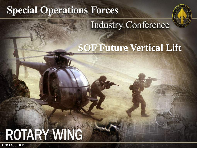# **Special Operations Forces**



# **Industry Conference**

# **SOF Future Vertical Lift**

# **ROTARY WING**

UNCLASSIFIED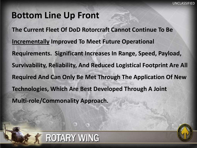### **Bottom Line Up Front**

ROTARY WING

UNCLASSIFIED STATES

**The Current Fleet Of DoD Rotorcraft Cannot Continue To Be Incrementally Improved To Meet Future Operational Requirements. Significant Increases In Range, Speed, Payload, Survivability, Reliability, And Reduced Logistical Footprint Are All Required And Can Only Be Met Through The Application Of New Technologies, Which Are Best Developed Through A Joint Multi-role/Commonality Approach.** 

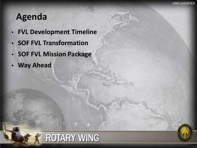### **Agenda**

- **FVL Development Timeline**
- **SOF FVL Transformation**
- **SOF FVL Mission Package**
- **Way Ahead**

UNCLASSIFIED STATES



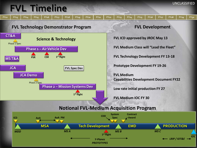### **FVL Timeline**



UNCLASSIFIED

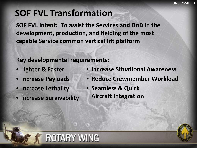### **SOF FVL Transformation**

**SOF FVL Intent: To assist the Services and DoD in the development, production, and fielding of the most capable Service common vertical lift platform**

**Key developmental requirements:**

**ROTARY WING** 

- **Lighter & Faster**
- **Increase Payloads**
- **Increase Lethality**

UNCLASSIFIED STATES

• **Increase Survivability** 

- **Increase Situational Awareness**
- **Reduce Crewmember Workload**
- **Seamless & Quick Aircraft Integration**

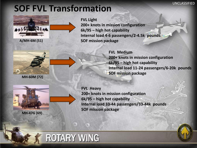#### UNCLASSIFIED

### **SOF FVL Transformation**



**A/MH-6M (51)**

**FVL Light 200+ knots in mission configuration 6k/95 – high hot capability Internal load 4-6 passengers/2-4.5k pounds SOF mission package**



**MH-60M (72)**

UNCLASSIFIED STATES

**FVL Medium 200+ knots in mission configuration 6k/95 – high hot capability Internal load 11-24 passengers/6-20k pounds SOF mission package**



**FVL Heavy 200+ knots in mission configuration 6k/95 – high hot capability Internal load 33-44 passengers/33-44k pounds SOF mission package**



# **ROTARY WING**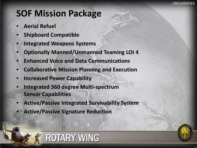### **SOF Mission Package**

• **Aerial Refuel**

UNCLASSIFIED STATES

- **Shipboard Compatible**
- **Integrated Weapons Systems**
- **Optionally Manned/Unmanned Teaming LOI 4**
- **Enhanced Voice and Data Communications**
- **Collaborative Mission Planning and Execution**
- **Increased Power Capability**
- **Integrated 360 degree Multi-spectrum Sensor Capabilities**
- **Active/Passive Integrated Survivability System**

**ROTARY WING** 

• **Active/Passive Signature Reduction**

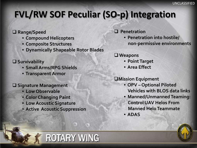# **FVL/RW SOF Peculiar (SO-p) Integration**

#### **Range/Speed**

- **Compound Helicopters**
- **Composite Structures**
- **Dynamically Shapeable Rotor Blades**

#### **Survivability**

UNCLASSIFIED STATES

- **Small Arms/RPG Shields**
- **Transparent Armor**

#### **Signature Management**

- **Low Observable**
- **Color Changing Paint**
- **Low Acoustic Signature**
- **Active Acoustic Suppression**

#### **Penetration**

• **Penetration into hostile/ non-permissive environments**

### **Weapons**

- **Point Target**
- **Area Effect**

#### **Mission Equipment**

- **OPV – Optional Piloted Vehicles with BLOS data links**
- **Manned/Unmanned Teaming: Control UAV Helos From Manned HeloTeammate**
- **ADAS**



# ROTARY WING